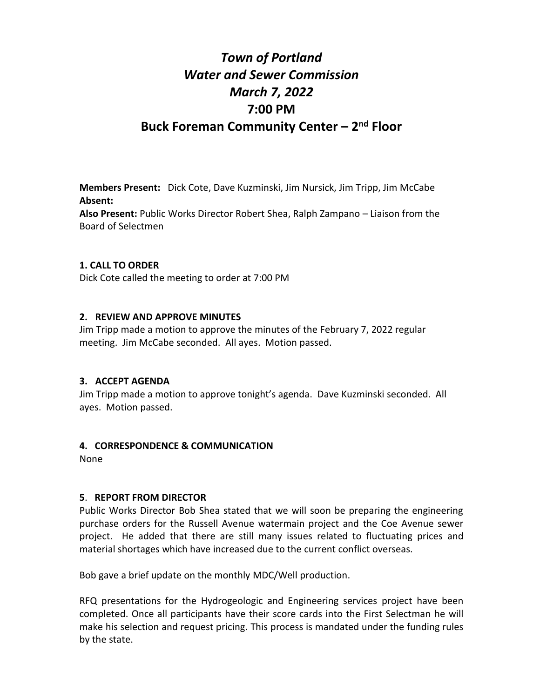# *Town of Portland Water and Sewer Commission March 7, 2022* **7:00 PM Buck Foreman Community Center – 2 nd Floor**

**Members Present:** Dick Cote, Dave Kuzminski, Jim Nursick, Jim Tripp, Jim McCabe **Absent:** 

**Also Present:** Public Works Director Robert Shea, Ralph Zampano – Liaison from the Board of Selectmen

# **1. CALL TO ORDER**

Dick Cote called the meeting to order at 7:00 PM

# **2. REVIEW AND APPROVE MINUTES**

Jim Tripp made a motion to approve the minutes of the February 7, 2022 regular meeting. Jim McCabe seconded. All ayes. Motion passed.

# **3. ACCEPT AGENDA**

Jim Tripp made a motion to approve tonight's agenda. Dave Kuzminski seconded. All ayes. Motion passed.

# **4. CORRESPONDENCE & COMMUNICATION**

None

# **5**. **REPORT FROM DIRECTOR**

Public Works Director Bob Shea stated that we will soon be preparing the engineering purchase orders for the Russell Avenue watermain project and the Coe Avenue sewer project. He added that there are still many issues related to fluctuating prices and material shortages which have increased due to the current conflict overseas.

Bob gave a brief update on the monthly MDC/Well production.

RFQ presentations for the Hydrogeologic and Engineering services project have been completed. Once all participants have their score cards into the First Selectman he will make his selection and request pricing. This process is mandated under the funding rules by the state.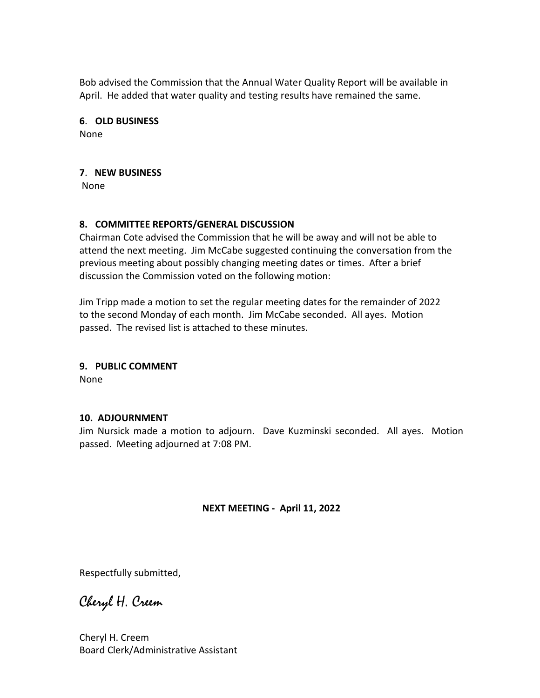Bob advised the Commission that the Annual Water Quality Report will be available in April. He added that water quality and testing results have remained the same.

# **6**. **OLD BUSINESS**

None

# **7**. **NEW BUSINESS**

None

# **8. COMMITTEE REPORTS/GENERAL DISCUSSION**

Chairman Cote advised the Commission that he will be away and will not be able to attend the next meeting. Jim McCabe suggested continuing the conversation from the previous meeting about possibly changing meeting dates or times. After a brief discussion the Commission voted on the following motion:

Jim Tripp made a motion to set the regular meeting dates for the remainder of 2022 to the second Monday of each month. Jim McCabe seconded. All ayes. Motion passed. The revised list is attached to these minutes.

# **9. PUBLIC COMMENT**

None

# **10. ADJOURNMENT**

Jim Nursick made a motion to adjourn. Dave Kuzminski seconded. All ayes. Motion passed. Meeting adjourned at 7:08 PM.

**NEXT MEETING - April 11, 2022**

Respectfully submitted,

Cheryl H. Creem

Cheryl H. Creem Board Clerk/Administrative Assistant